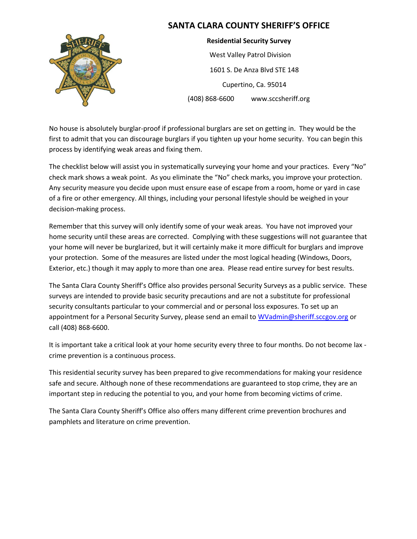

**Residential Security Survey** West Valley Patrol Division 1601 S. De Anza Blvd STE 148 Cupertino, Ca. 95014 (408) 868-6600 www.sccsheriff.org

No house is absolutely burglar-proof if professional burglars are set on getting in. They would be the first to admit that you can discourage burglars if you tighten up your home security. You can begin this process by identifying weak areas and fixing them.

The checklist below will assist you in systematically surveying your home and your practices. Every "No" check mark shows a weak point. As you eliminate the "No" check marks, you improve your protection. Any security measure you decide upon must ensure ease of escape from a room, home or yard in case of a fire or other emergency. All things, including your personal lifestyle should be weighed in your decision-making process.

Remember that this survey will only identify some of your weak areas. You have not improved your home security until these areas are corrected. Complying with these suggestions will not guarantee that your home will never be burglarized, but it will certainly make it more difficult for burglars and improve your protection. Some of the measures are listed under the most logical heading (Windows, Doors, Exterior, etc.) though it may apply to more than one area. Please read entire survey for best results.

The Santa Clara County Sheriff's Office also provides personal Security Surveys as a public service. These surveys are intended to provide basic security precautions and are not a substitute for professional security consultants particular to your commercial and or personal loss exposures. To set up an appointment for a Personal Security Survey, please send an email t[o WVadmin@sheriff.sccgov.org](mailto:WVadmin@sheriff.sccgov.org) or call (408) 868-6600.

It is important take a critical look at your home security every three to four months. Do not become lax crime prevention is a continuous process.

This residential security survey has been prepared to give recommendations for making your residence safe and secure. Although none of these recommendations are guaranteed to stop crime, they are an important step in reducing the potential to you, and your home from becoming victims of crime.

The Santa Clara County Sheriff's Office also offers many different crime prevention brochures and pamphlets and literature on crime prevention.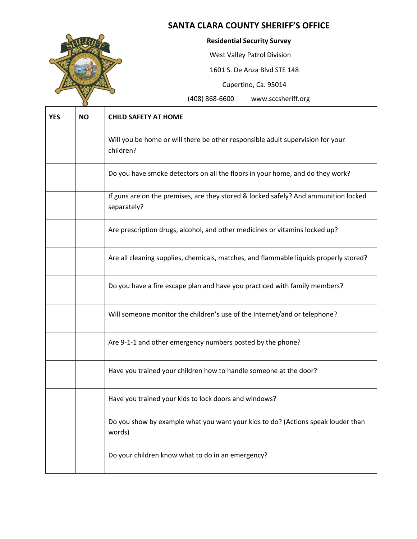

#### **Residential Security Survey**

West Valley Patrol Division

1601 S. De Anza Blvd STE 148

Cupertino, Ca. 95014

| <b>YES</b> | <b>NO</b> | <b>CHILD SAFETY AT HOME</b>                                                                        |
|------------|-----------|----------------------------------------------------------------------------------------------------|
|            |           | Will you be home or will there be other responsible adult supervision for your<br>children?        |
|            |           | Do you have smoke detectors on all the floors in your home, and do they work?                      |
|            |           | If guns are on the premises, are they stored & locked safely? And ammunition locked<br>separately? |
|            |           | Are prescription drugs, alcohol, and other medicines or vitamins locked up?                        |
|            |           | Are all cleaning supplies, chemicals, matches, and flammable liquids properly stored?              |
|            |           | Do you have a fire escape plan and have you practiced with family members?                         |
|            |           | Will someone monitor the children's use of the Internet/and or telephone?                          |
|            |           | Are 9-1-1 and other emergency numbers posted by the phone?                                         |
|            |           | Have you trained your children how to handle someone at the door?                                  |
|            |           | Have you trained your kids to lock doors and windows?                                              |
|            |           | Do you show by example what you want your kids to do? (Actions speak louder than<br>words)         |
|            |           | Do your children know what to do in an emergency?                                                  |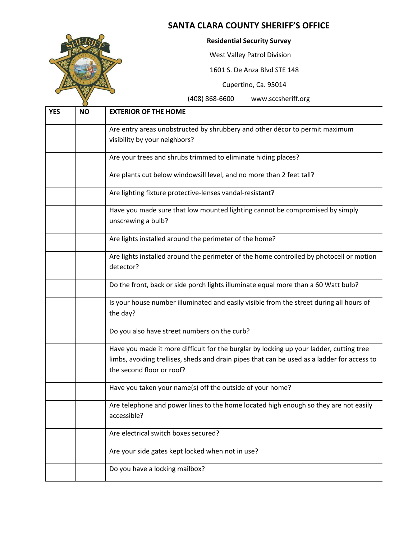

#### **Residential Security Survey**

West Valley Patrol Division

1601 S. De Anza Blvd STE 148

Cupertino, Ca. 95014

| <b>YES</b> | <b>NO</b> | <b>EXTERIOR OF THE HOME</b>                                                                                                                                                                                         |
|------------|-----------|---------------------------------------------------------------------------------------------------------------------------------------------------------------------------------------------------------------------|
|            |           | Are entry areas unobstructed by shrubbery and other décor to permit maximum                                                                                                                                         |
|            |           | visibility by your neighbors?                                                                                                                                                                                       |
|            |           | Are your trees and shrubs trimmed to eliminate hiding places?                                                                                                                                                       |
|            |           | Are plants cut below windowsill level, and no more than 2 feet tall?                                                                                                                                                |
|            |           | Are lighting fixture protective-lenses vandal-resistant?                                                                                                                                                            |
|            |           | Have you made sure that low mounted lighting cannot be compromised by simply<br>unscrewing a bulb?                                                                                                                  |
|            |           | Are lights installed around the perimeter of the home?                                                                                                                                                              |
|            |           | Are lights installed around the perimeter of the home controlled by photocell or motion<br>detector?                                                                                                                |
|            |           | Do the front, back or side porch lights illuminate equal more than a 60 Watt bulb?                                                                                                                                  |
|            |           | Is your house number illuminated and easily visible from the street during all hours of<br>the day?                                                                                                                 |
|            |           | Do you also have street numbers on the curb?                                                                                                                                                                        |
|            |           | Have you made it more difficult for the burglar by locking up your ladder, cutting tree<br>limbs, avoiding trellises, sheds and drain pipes that can be used as a ladder for access to<br>the second floor or roof? |
|            |           | Have you taken your name(s) off the outside of your home?                                                                                                                                                           |
|            |           | Are telephone and power lines to the home located high enough so they are not easily<br>accessible?                                                                                                                 |
|            |           | Are electrical switch boxes secured?                                                                                                                                                                                |
|            |           | Are your side gates kept locked when not in use?                                                                                                                                                                    |
|            |           | Do you have a locking mailbox?                                                                                                                                                                                      |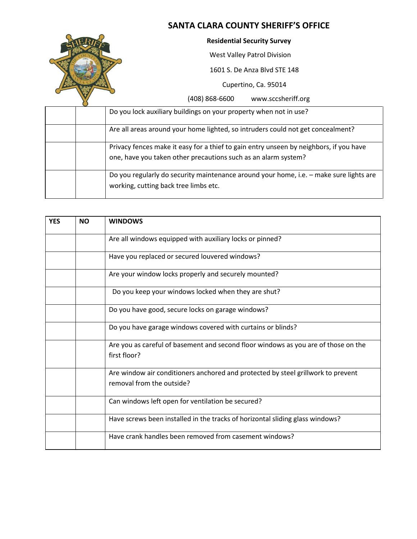

#### **Residential Security Survey**

West Valley Patrol Division

1601 S. De Anza Blvd STE 148

Cupertino, Ca. 95014

|  | Do you lock auxiliary buildings on your property when not in use?                                                                                        |
|--|----------------------------------------------------------------------------------------------------------------------------------------------------------|
|  | Are all areas around your home lighted, so intruders could not get concealment?                                                                          |
|  | Privacy fences make it easy for a thief to gain entry unseen by neighbors, if you have<br>one, have you taken other precautions such as an alarm system? |
|  | Do you regularly do security maintenance around your home, i.e. - make sure lights are<br>working, cutting back tree limbs etc.                          |

| <b>YES</b> | <b>NO</b> | <b>WINDOWS</b>                                                                                                |
|------------|-----------|---------------------------------------------------------------------------------------------------------------|
|            |           | Are all windows equipped with auxiliary locks or pinned?                                                      |
|            |           | Have you replaced or secured louvered windows?                                                                |
|            |           | Are your window locks properly and securely mounted?                                                          |
|            |           | Do you keep your windows locked when they are shut?                                                           |
|            |           | Do you have good, secure locks on garage windows?                                                             |
|            |           | Do you have garage windows covered with curtains or blinds?                                                   |
|            |           | Are you as careful of basement and second floor windows as you are of those on the<br>first floor?            |
|            |           | Are window air conditioners anchored and protected by steel grillwork to prevent<br>removal from the outside? |
|            |           | Can windows left open for ventilation be secured?                                                             |
|            |           | Have screws been installed in the tracks of horizontal sliding glass windows?                                 |
|            |           | Have crank handles been removed from casement windows?                                                        |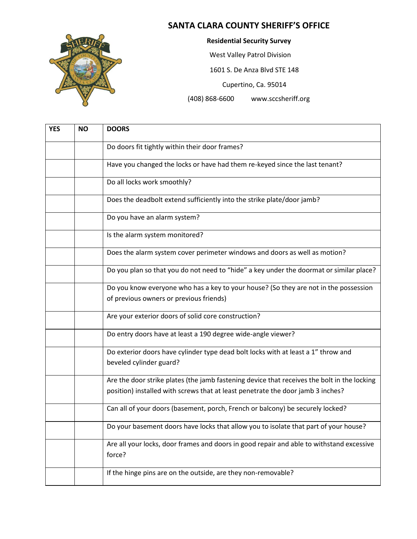

**Residential Security Survey**

West Valley Patrol Division

1601 S. De Anza Blvd STE 148

Cupertino, Ca. 95014

| <b>YES</b> | <b>NO</b> | <b>DOORS</b>                                                                                                                                                                   |
|------------|-----------|--------------------------------------------------------------------------------------------------------------------------------------------------------------------------------|
|            |           | Do doors fit tightly within their door frames?                                                                                                                                 |
|            |           | Have you changed the locks or have had them re-keyed since the last tenant?                                                                                                    |
|            |           | Do all locks work smoothly?                                                                                                                                                    |
|            |           | Does the deadbolt extend sufficiently into the strike plate/door jamb?                                                                                                         |
|            |           | Do you have an alarm system?                                                                                                                                                   |
|            |           | Is the alarm system monitored?                                                                                                                                                 |
|            |           | Does the alarm system cover perimeter windows and doors as well as motion?                                                                                                     |
|            |           | Do you plan so that you do not need to "hide" a key under the doormat or similar place?                                                                                        |
|            |           | Do you know everyone who has a key to your house? (So they are not in the possession                                                                                           |
|            |           | of previous owners or previous friends)                                                                                                                                        |
|            |           | Are your exterior doors of solid core construction?                                                                                                                            |
|            |           | Do entry doors have at least a 190 degree wide-angle viewer?                                                                                                                   |
|            |           | Do exterior doors have cylinder type dead bolt locks with at least a 1" throw and<br>beveled cylinder guard?                                                                   |
|            |           | Are the door strike plates (the jamb fastening device that receives the bolt in the locking<br>position) installed with screws that at least penetrate the door jamb 3 inches? |
|            |           | Can all of your doors (basement, porch, French or balcony) be securely locked?                                                                                                 |
|            |           | Do your basement doors have locks that allow you to isolate that part of your house?                                                                                           |
|            |           | Are all your locks, door frames and doors in good repair and able to withstand excessive<br>force?                                                                             |
|            |           | If the hinge pins are on the outside, are they non-removable?                                                                                                                  |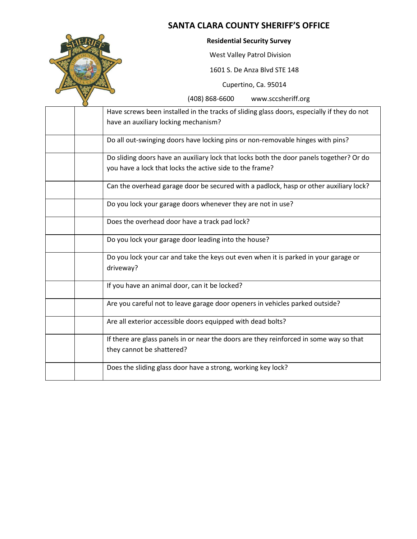

#### **Residential Security Survey**

West Valley Patrol Division

1601 S. De Anza Blvd STE 148

Cupertino, Ca. 95014

| Have screws been installed in the tracks of sliding glass doors, especially if they do not       |
|--------------------------------------------------------------------------------------------------|
| have an auxiliary locking mechanism?                                                             |
| Do all out-swinging doors have locking pins or non-removable hinges with pins?                   |
| Do sliding doors have an auxiliary lock that locks both the door panels together? Or do          |
| you have a lock that locks the active side to the frame?                                         |
| Can the overhead garage door be secured with a padlock, hasp or other auxiliary lock?            |
| Do you lock your garage doors whenever they are not in use?                                      |
| Does the overhead door have a track pad lock?                                                    |
| Do you lock your garage door leading into the house?                                             |
| Do you lock your car and take the keys out even when it is parked in your garage or<br>driveway? |
|                                                                                                  |
| If you have an animal door, can it be locked?                                                    |
| Are you careful not to leave garage door openers in vehicles parked outside?                     |
| Are all exterior accessible doors equipped with dead bolts?                                      |
| If there are glass panels in or near the doors are they reinforced in some way so that           |
| they cannot be shattered?                                                                        |
| Does the sliding glass door have a strong, working key lock?                                     |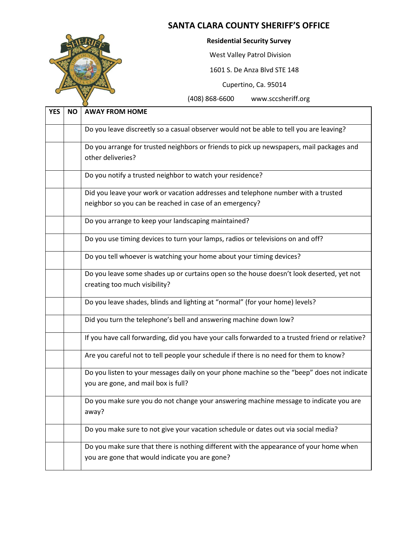

**Residential Security Survey**

West Valley Patrol Division

1601 S. De Anza Blvd STE 148

Cupertino, Ca. 95014

| <b>YES</b> | <b>NO</b> | <b>AWAY FROM HOME</b>                                                                                                                    |
|------------|-----------|------------------------------------------------------------------------------------------------------------------------------------------|
|            |           | Do you leave discreetly so a casual observer would not be able to tell you are leaving?                                                  |
|            |           | Do you arrange for trusted neighbors or friends to pick up newspapers, mail packages and<br>other deliveries?                            |
|            |           | Do you notify a trusted neighbor to watch your residence?                                                                                |
|            |           | Did you leave your work or vacation addresses and telephone number with a trusted                                                        |
|            |           | neighbor so you can be reached in case of an emergency?                                                                                  |
|            |           | Do you arrange to keep your landscaping maintained?                                                                                      |
|            |           | Do you use timing devices to turn your lamps, radios or televisions on and off?                                                          |
|            |           | Do you tell whoever is watching your home about your timing devices?                                                                     |
|            |           | Do you leave some shades up or curtains open so the house doesn't look deserted, yet not<br>creating too much visibility?                |
|            |           | Do you leave shades, blinds and lighting at "normal" (for your home) levels?                                                             |
|            |           | Did you turn the telephone's bell and answering machine down low?                                                                        |
|            |           | If you have call forwarding, did you have your calls forwarded to a trusted friend or relative?                                          |
|            |           | Are you careful not to tell people your schedule if there is no need for them to know?                                                   |
|            |           | Do you listen to your messages daily on your phone machine so the "beep" does not indicate<br>you are gone, and mail box is full?        |
|            |           | Do you make sure you do not change your answering machine message to indicate you are<br>away?                                           |
|            |           | Do you make sure to not give your vacation schedule or dates out via social media?                                                       |
|            |           | Do you make sure that there is nothing different with the appearance of your home when<br>you are gone that would indicate you are gone? |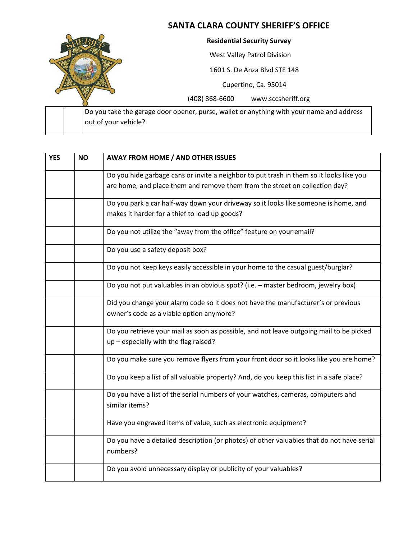

| <b>YES</b> | <b>NO</b> | <b>AWAY FROM HOME / AND OTHER ISSUES</b>                                                              |
|------------|-----------|-------------------------------------------------------------------------------------------------------|
|            |           | Do you hide garbage cans or invite a neighbor to put trash in them so it looks like you               |
|            |           | are home, and place them and remove them from the street on collection day?                           |
|            |           | Do you park a car half-way down your driveway so it looks like someone is home, and                   |
|            |           | makes it harder for a thief to load up goods?                                                         |
|            |           | Do you not utilize the "away from the office" feature on your email?                                  |
|            |           | Do you use a safety deposit box?                                                                      |
|            |           | Do you not keep keys easily accessible in your home to the casual guest/burglar?                      |
|            |           | Do you not put valuables in an obvious spot? (i.e. - master bedroom, jewelry box)                     |
|            |           | Did you change your alarm code so it does not have the manufacturer's or previous                     |
|            |           | owner's code as a viable option anymore?                                                              |
|            |           | Do you retrieve your mail as soon as possible, and not leave outgoing mail to be picked               |
|            |           | up - especially with the flag raised?                                                                 |
|            |           | Do you make sure you remove flyers from your front door so it looks like you are home?                |
|            |           | Do you keep a list of all valuable property? And, do you keep this list in a safe place?              |
|            |           | Do you have a list of the serial numbers of your watches, cameras, computers and                      |
|            |           | similar items?                                                                                        |
|            |           | Have you engraved items of value, such as electronic equipment?                                       |
|            |           | Do you have a detailed description (or photos) of other valuables that do not have serial<br>numbers? |
|            |           | Do you avoid unnecessary display or publicity of your valuables?                                      |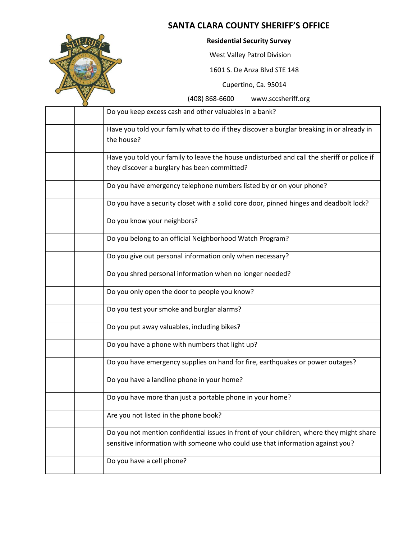

#### **Residential Security Survey**

West Valley Patrol Division

1601 S. De Anza Blvd STE 148

Cupertino, Ca. 95014

| Do you keep excess cash and other valuables in a bank?                                                                                                                     |
|----------------------------------------------------------------------------------------------------------------------------------------------------------------------------|
| Have you told your family what to do if they discover a burglar breaking in or already in<br>the house?                                                                    |
| Have you told your family to leave the house undisturbed and call the sheriff or police if<br>they discover a burglary has been committed?                                 |
| Do you have emergency telephone numbers listed by or on your phone?                                                                                                        |
| Do you have a security closet with a solid core door, pinned hinges and deadbolt lock?                                                                                     |
| Do you know your neighbors?                                                                                                                                                |
| Do you belong to an official Neighborhood Watch Program?                                                                                                                   |
| Do you give out personal information only when necessary?                                                                                                                  |
| Do you shred personal information when no longer needed?                                                                                                                   |
| Do you only open the door to people you know?                                                                                                                              |
| Do you test your smoke and burglar alarms?                                                                                                                                 |
| Do you put away valuables, including bikes?                                                                                                                                |
| Do you have a phone with numbers that light up?                                                                                                                            |
| Do you have emergency supplies on hand for fire, earthquakes or power outages?                                                                                             |
| Do you have a landline phone in your home?                                                                                                                                 |
| Do you have more than just a portable phone in your home?                                                                                                                  |
| Are you not listed in the phone book?                                                                                                                                      |
| Do you not mention confidential issues in front of your children, where they might share<br>sensitive information with someone who could use that information against you? |
| Do you have a cell phone?                                                                                                                                                  |